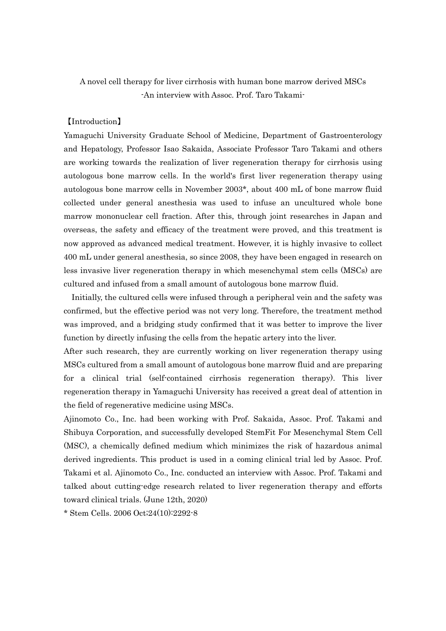A novel cell therapy for liver cirrhosis with human bone marrow derived MSCs -An interview with Assoc. Prof. Taro Takami-

### 【Introduction】

Yamaguchi University Graduate School of Medicine, Department of Gastroenterology and Hepatology, Professor Isao Sakaida, Associate Professor Taro Takami and others are working towards the realization of liver regeneration therapy for cirrhosis using autologous bone marrow cells. In the world's first liver regeneration therapy using autologous bone marrow cells in November 2003\*, about 400 mL of bone marrow fluid collected under general anesthesia was used to infuse an uncultured whole bone marrow mononuclear cell fraction. After this, through joint researches in Japan and overseas, the safety and efficacy of the treatment were proved, and this treatment is now approved as advanced medical treatment. However, it is highly invasive to collect 400 mL under general anesthesia, so since 2008, they have been engaged in research on less invasive liver regeneration therapy in which mesenchymal stem cells (MSCs) are cultured and infused from a small amount of autologous bone marrow fluid.

Initially, the cultured cells were infused through a peripheral vein and the safety was confirmed, but the effective period was not very long. Therefore, the treatment method was improved, and a bridging study confirmed that it was better to improve the liver function by directly infusing the cells from the hepatic artery into the liver.

After such research, they are currently working on liver regeneration therapy using MSCs cultured from a small amount of autologous bone marrow fluid and are preparing for a clinical trial (self-contained cirrhosis regeneration therapy). This liver regeneration therapy in Yamaguchi University has received a great deal of attention in the field of regenerative medicine using MSCs.

Ajinomoto Co., Inc. had been working with Prof. Sakaida, Assoc. Prof. Takami and Shibuya Corporation, and successfully developed StemFit For Mesenchymal Stem Cell (MSC), a chemically defined medium which minimizes the risk of hazardous animal derived ingredients. This product is used in a coming clinical trial led by Assoc. Prof. Takami et al. Ajinomoto Co., Inc. conducted an interview with Assoc. Prof. Takami and talked about cutting-edge research related to liver regeneration therapy and efforts toward clinical trials. (June 12th, 2020)

\* Stem Cells. 2006 Oct;24(10):2292-8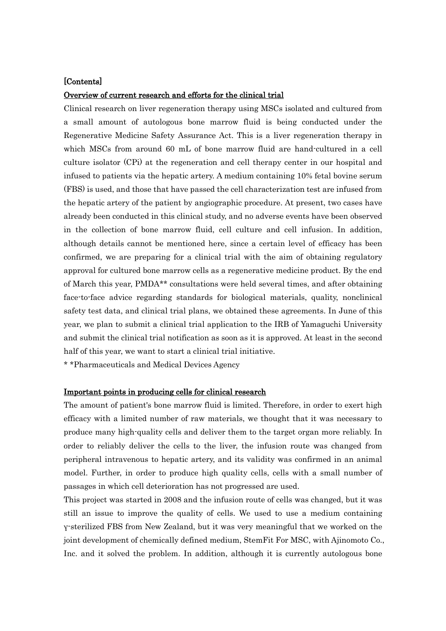## [Contents]

## Overview of current research and efforts for the clinical trial

Clinical research on liver regeneration therapy using MSCs isolated and cultured from a small amount of autologous bone marrow fluid is being conducted under the Regenerative Medicine Safety Assurance Act. This is a liver regeneration therapy in which MSCs from around 60 mL of bone marrow fluid are hand-cultured in a cell culture isolator (CPi) at the regeneration and cell therapy center in our hospital and infused to patients via the hepatic artery. A medium containing 10% fetal bovine serum (FBS) is used, and those that have passed the cell characterization test are infused from the hepatic artery of the patient by angiographic procedure. At present, two cases have already been conducted in this clinical study, and no adverse events have been observed in the collection of bone marrow fluid, cell culture and cell infusion. In addition, although details cannot be mentioned here, since a certain level of efficacy has been confirmed, we are preparing for a clinical trial with the aim of obtaining regulatory approval for cultured bone marrow cells as a regenerative medicine product. By the end of March this year, PMDA\*\* consultations were held several times, and after obtaining face-to-face advice regarding standards for biological materials, quality, nonclinical safety test data, and clinical trial plans, we obtained these agreements. In June of this year, we plan to submit a clinical trial application to the IRB of Yamaguchi University and submit the clinical trial notification as soon as it is approved. At least in the second half of this year, we want to start a clinical trial initiative.

\* \*Pharmaceuticals and Medical Devices Agency

### Important points in producing cells for clinical research

The amount of patient's bone marrow fluid is limited. Therefore, in order to exert high efficacy with a limited number of raw materials, we thought that it was necessary to produce many high-quality cells and deliver them to the target organ more reliably. In order to reliably deliver the cells to the liver, the infusion route was changed from peripheral intravenous to hepatic artery, and its validity was confirmed in an animal model. Further, in order to produce high quality cells, cells with a small number of passages in which cell deterioration has not progressed are used.

This project was started in 2008 and the infusion route of cells was changed, but it was still an issue to improve the quality of cells. We used to use a medium containing γ-sterilized FBS from New Zealand, but it was very meaningful that we worked on the joint development of chemically defined medium, StemFit For MSC, with Ajinomoto Co., Inc. and it solved the problem. In addition, although it is currently autologous bone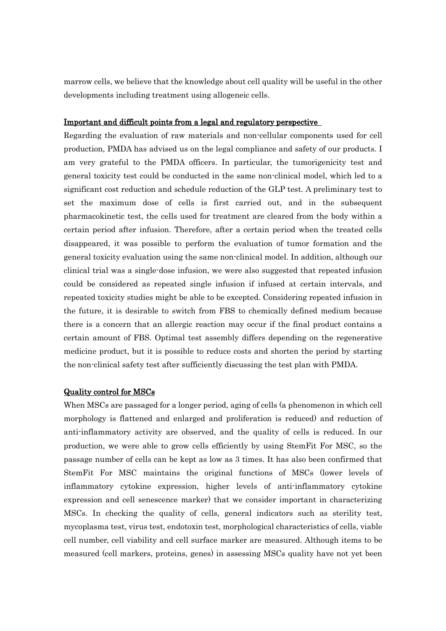marrow cells, we believe that the knowledge about cell quality will be useful in the other developments including treatment using allogeneic cells.

#### Important and difficult points from a legal and regulatory perspective

Regarding the evaluation of raw materials and non-cellular components used for cell production, PMDA has advised us on the legal compliance and safety of our products. I am very grateful to the PMDA officers. In particular, the tumorigenicity test and general toxicity test could be conducted in the same non-clinical model, which led to a significant cost reduction and schedule reduction of the GLP test. A preliminary test to set the maximum dose of cells is first carried out, and in the subsequent pharmacokinetic test, the cells used for treatment are cleared from the body within a certain period after infusion. Therefore, after a certain period when the treated cells disappeared, it was possible to perform the evaluation of tumor formation and the general toxicity evaluation using the same non-clinical model. In addition, although our clinical trial was a single-dose infusion, we were also suggested that repeated infusion could be considered as repeated single infusion if infused at certain intervals, and repeated toxicity studies might be able to be excepted. Considering repeated infusion in the future, it is desirable to switch from FBS to chemically defined medium because there is a concern that an allergic reaction may occur if the final product contains a certain amount of FBS. Optimal test assembly differs depending on the regenerative medicine product, but it is possible to reduce costs and shorten the period by starting the non-clinical safety test after sufficiently discussing the test plan with PMDA.

### Quality control for MSCs

When MSCs are passaged for a longer period, aging of cells (a phenomenon in which cell morphology is flattened and enlarged and proliferation is reduced) and reduction of anti-inflammatory activity are observed, and the quality of cells is reduced. In our production, we were able to grow cells efficiently by using StemFit For MSC, so the passage number of cells can be kept as low as 3 times. It has also been confirmed that StemFit For MSC maintains the original functions of MSCs (lower levels of inflammatory cytokine expression, higher levels of anti-inflammatory cytokine expression and cell senescence marker) that we consider important in characterizing MSCs. In checking the quality of cells, general indicators such as sterility test, mycoplasma test, virus test, endotoxin test, morphological characteristics of cells, viable cell number, cell viability and cell surface marker are measured. Although items to be measured (cell markers, proteins, genes) in assessing MSCs quality have not yet been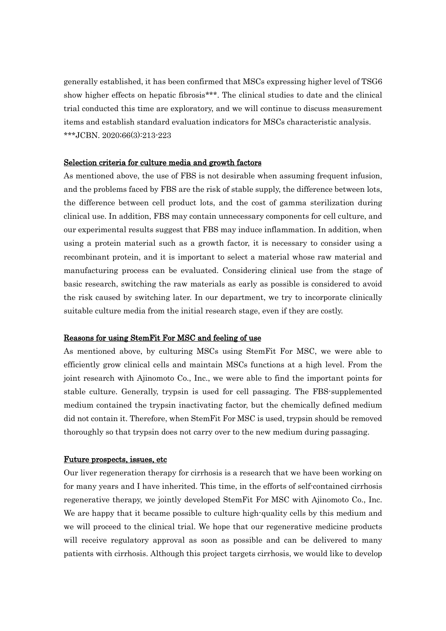generally established, it has been confirmed that MSCs expressing higher level of TSG6 show higher effects on hepatic fibrosis\*\*\*. The clinical studies to date and the clinical trial conducted this time are exploratory, and we will continue to discuss measurement items and establish standard evaluation indicators for MSCs characteristic analysis. \*\*\*JCBN. 2020;66(3):213-223

## Selection criteria for culture media and growth factors

As mentioned above, the use of FBS is not desirable when assuming frequent infusion, and the problems faced by FBS are the risk of stable supply, the difference between lots, the difference between cell product lots, and the cost of gamma sterilization during clinical use. In addition, FBS may contain unnecessary components for cell culture, and our experimental results suggest that FBS may induce inflammation. In addition, when using a protein material such as a growth factor, it is necessary to consider using a recombinant protein, and it is important to select a material whose raw material and manufacturing process can be evaluated. Considering clinical use from the stage of basic research, switching the raw materials as early as possible is considered to avoid the risk caused by switching later. In our department, we try to incorporate clinically suitable culture media from the initial research stage, even if they are costly.

#### Reasons for using StemFit For MSC and feeling of use

As mentioned above, by culturing MSCs using StemFit For MSC, we were able to efficiently grow clinical cells and maintain MSCs functions at a high level. From the joint research with Ajinomoto Co., Inc., we were able to find the important points for stable culture. Generally, trypsin is used for cell passaging. The FBS-supplemented medium contained the trypsin inactivating factor, but the chemically defined medium did not contain it. Therefore, when StemFit For MSC is used, trypsin should be removed thoroughly so that trypsin does not carry over to the new medium during passaging.

### Future prospects, issues, etc

Our liver regeneration therapy for cirrhosis is a research that we have been working on for many years and I have inherited. This time, in the efforts of self-contained cirrhosis regenerative therapy, we jointly developed StemFit For MSC with Ajinomoto Co., Inc. We are happy that it became possible to culture high-quality cells by this medium and we will proceed to the clinical trial. We hope that our regenerative medicine products will receive regulatory approval as soon as possible and can be delivered to many patients with cirrhosis. Although this project targets cirrhosis, we would like to develop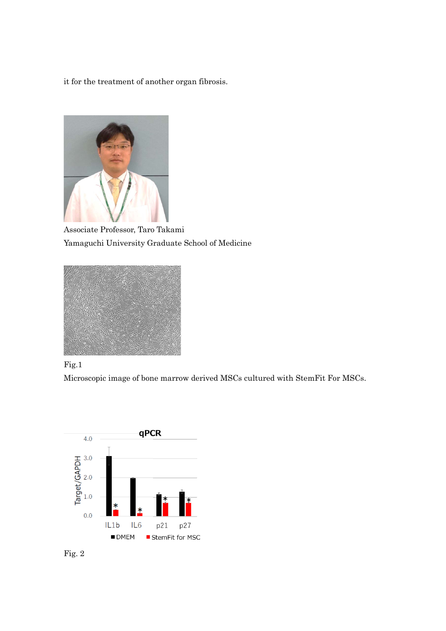it for the treatment of another organ fibrosis.



Associate Professor, Taro Takami Yamaguchi University Graduate School of Medicine





Microscopic image of bone marrow derived MSCs cultured with StemFit For MSCs.



Fig. 2